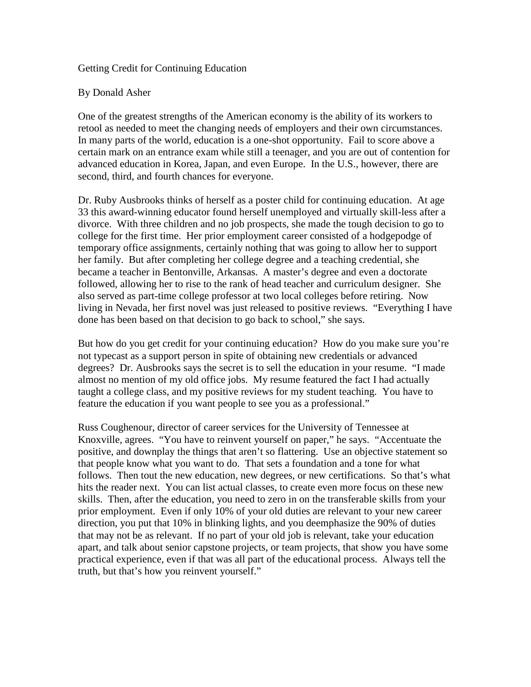## Getting Credit for Continuing Education

## By Donald Asher

One of the greatest strengths of the American economy is the ability of its workers to retool as needed to meet the changing needs of employers and their own circumstances. In many parts of the world, education is a one-shot opportunity. Fail to score above a certain mark on an entrance exam while still a teenager, and you are out of contention for advanced education in Korea, Japan, and even Europe. In the U.S., however, there are second, third, and fourth chances for everyone.

Dr. Ruby Ausbrooks thinks of herself as a poster child for continuing education. At age 33 this award-winning educator found herself unemployed and virtually skill-less after a divorce. With three children and no job prospects, she made the tough decision to go to college for the first time. Her prior employment career consisted of a hodgepodge of temporary office assignments, certainly nothing that was going to allow her to support her family. But after completing her college degree and a teaching credential, she became a teacher in Bentonville, Arkansas. A master's degree and even a doctorate followed, allowing her to rise to the rank of head teacher and curriculum designer. She also served as part-time college professor at two local colleges before retiring. Now living in Nevada, her first novel was just released to positive reviews. "Everything I have done has been based on that decision to go back to school," she says.

But how do you get credit for your continuing education? How do you make sure you're not typecast as a support person in spite of obtaining new credentials or advanced degrees? Dr. Ausbrooks says the secret is to sell the education in your resume. "I made almost no mention of my old office jobs. My resume featured the fact I had actually taught a college class, and my positive reviews for my student teaching. You have to feature the education if you want people to see you as a professional."

Russ Coughenour, director of career services for the University of Tennessee at Knoxville, agrees. "You have to reinvent yourself on paper," he says. "Accentuate the positive, and downplay the things that aren't so flattering. Use an objective statement so that people know what you want to do. That sets a foundation and a tone for what follows. Then tout the new education, new degrees, or new certifications. So that's what hits the reader next. You can list actual classes, to create even more focus on these new skills. Then, after the education, you need to zero in on the transferable skills from your prior employment. Even if only 10% of your old duties are relevant to your new career direction, you put that 10% in blinking lights, and you deemphasize the 90% of duties that may not be as relevant. If no part of your old job is relevant, take your education apart, and talk about senior capstone projects, or team projects, that show you have some practical experience, even if that was all part of the educational process. Always tell the truth, but that's how you reinvent yourself."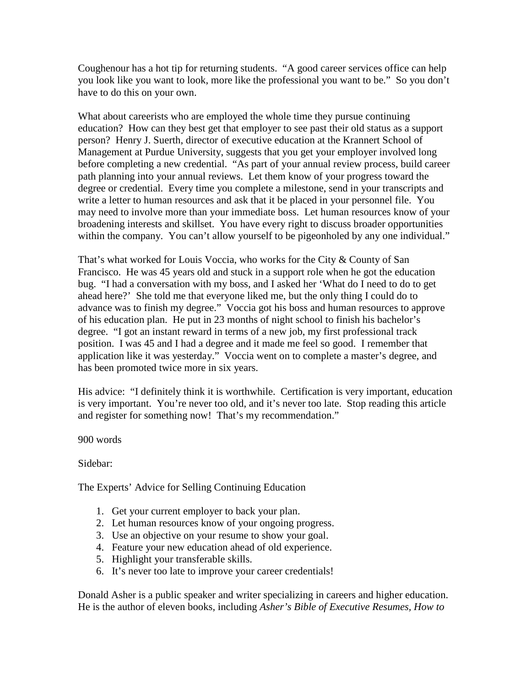Coughenour has a hot tip for returning students. "A good career services office can help you look like you want to look, more like the professional you want to be." So you don't have to do this on your own.

What about careerists who are employed the whole time they pursue continuing education? How can they best get that employer to see past their old status as a support person? Henry J. Suerth, director of executive education at the Krannert School of Management at Purdue University, suggests that you get your employer involved long before completing a new credential. "As part of your annual review process, build career path planning into your annual reviews. Let them know of your progress toward the degree or credential. Every time you complete a milestone, send in your transcripts and write a letter to human resources and ask that it be placed in your personnel file. You may need to involve more than your immediate boss. Let human resources know of your broadening interests and skillset. You have every right to discuss broader opportunities within the company. You can't allow yourself to be pigeonholed by any one individual."

That's what worked for Louis Voccia, who works for the City & County of San Francisco. He was 45 years old and stuck in a support role when he got the education bug. "I had a conversation with my boss, and I asked her 'What do I need to do to get ahead here?' She told me that everyone liked me, but the only thing I could do to advance was to finish my degree." Voccia got his boss and human resources to approve of his education plan. He put in 23 months of night school to finish his bachelor's degree. "I got an instant reward in terms of a new job, my first professional track position. I was 45 and I had a degree and it made me feel so good. I remember that application like it was yesterday." Voccia went on to complete a master's degree, and has been promoted twice more in six years.

His advice: "I definitely think it is worthwhile. Certification is very important, education is very important. You're never too old, and it's never too late. Stop reading this article and register for something now! That's my recommendation."

900 words

Sidebar:

The Experts' Advice for Selling Continuing Education

- 1. Get your current employer to back your plan.
- 2. Let human resources know of your ongoing progress.
- 3. Use an objective on your resume to show your goal.
- 4. Feature your new education ahead of old experience.
- 5. Highlight your transferable skills.
- 6. It's never too late to improve your career credentials!

Donald Asher is a public speaker and writer specializing in careers and higher education. He is the author of eleven books, including *Asher's Bible of Executive Resumes, How to*